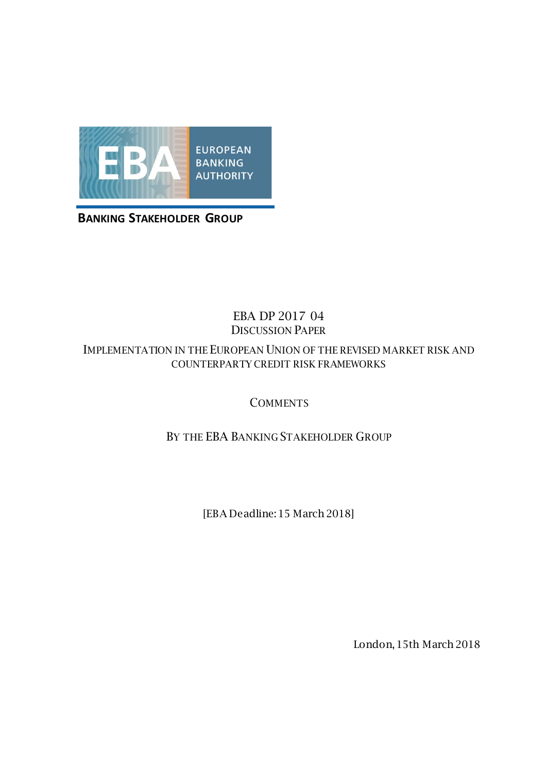

**BANKING STAKEHOLDER GROUP**

#### EBA DP 2017 04 DISCUSSION PAPER

#### IMPLEMENTATION IN THE EUROPEAN UNION OF THE REVISED MARKET RISK AND COUNTERPARTY CREDIT RISK FRAMEWORKS

## **COMMENTS**

## BY THE EBA BANKING STAKEHOLDER GROUP

[EBA Deadline: 15 March 2018]

London, 15th March 2018